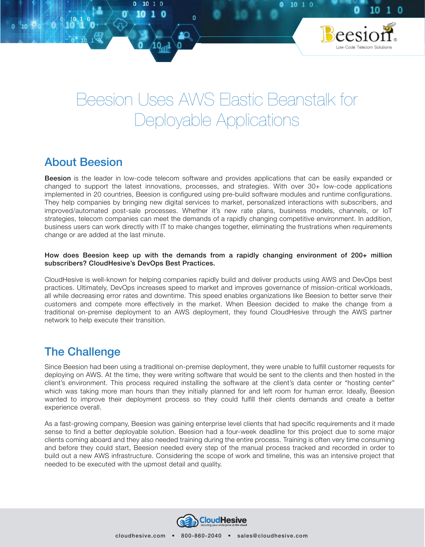# Beesion Uses AWS Elastic Beanstalk for Deployable Applications

 $1010$ 

10

## About Beesion

**Beesion** is the leader in low-code telecom software and provides applications that can be easily expanded or changed to support the latest innovations, processes, and strategies. With over 30+ low-code applications implemented in 20 countries, Beesion is configured using pre-build software modules and runtime configurations. They help companies by bringing new digital services to market, personalized interactions with subscribers, and improved/automated post-sale processes. Whether it's new rate plans, business models, channels, or IoT strategies, telecom companies can meet the demands of a rapidly changing competitive environment. In addition, business users can work directly with IT to make changes together, eliminating the frustrations when requirements change or are added at the last minute.

#### How does Beesion keep up with the demands from a rapidly changing environment of 200+ million subscribers? CloudHesive's DevOps Best Practices.

CloudHesive is well-known for helping companies rapidly build and deliver products using AWS and DevOps best practices. Ultimately, DevOps increases speed to market and improves governance of mission-critical workloads, all while decreasing error rates and downtime. This speed enables organizations like Beesion to better serve their customers and compete more effectively in the market. When Beesion decided to make the change from a traditional on-premise deployment to an AWS deployment, they found CloudHesive through the AWS partner network to help execute their transition.

## The Challenge

Since Beesion had been using a traditional on-premise deployment, they were unable to fulfill customer requests for deploying on AWS. At the time, they were writing software that would be sent to the clients and then hosted in the client's environment. This process required installing the software at the client's data center or "hosting center" which was taking more man hours than they initially planned for and left room for human error. Ideally, Beesion wanted to improve their deployment process so they could fulfill their clients demands and create a better experience overall.

As a fast-growing company, Beesion was gaining enterprise level clients that had specific requirements and it made sense to find a better deployable solution. Beesion had a four-week deadline for this project due to some major clients coming aboard and they also needed training during the entire process. Training is often very time consuming and before they could start, Beesion needed every step of the manual process tracked and recorded in order to build out a new AWS infrastructure. Considering the scope of work and timeline, this was an intensive project that needed to be executed with the upmost detail and quality.